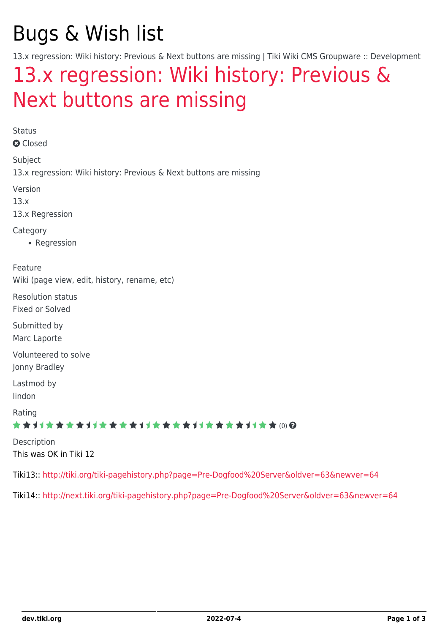# Bugs & Wish list

13.x regression: Wiki history: Previous & Next buttons are missing | Tiki Wiki CMS Groupware :: Development

## [13.x regression: Wiki history: Previous &](https://dev.tiki.org/item5304-13-x-regression-Wiki-history-Previous-Next-buttons-are-missing) [Next buttons are missing](https://dev.tiki.org/item5304-13-x-regression-Wiki-history-Previous-Next-buttons-are-missing)

Status **a** Closed Subject 13.x regression: Wiki history: Previous & Next buttons are missing Version 13.x 13.x Regression **Category** • Regression Feature Wiki (page view, edit, history, rename, etc) Resolution status Fixed or Solved Submitted by Marc Laporte Volunteered to solve Jonny Bradley Lastmod by lindon Rating ★★11★★★★11★★★★11★★★★11★★★★+11★★ (0) @ Description This was OK in Tiki 12 Tiki13:: <http://tiki.org/tiki-pagehistory.php?page=Pre-Dogfood%20Server&oldver=63&newver=64>

Tiki14:: <http://next.tiki.org/tiki-pagehistory.php?page=Pre-Dogfood%20Server&oldver=63&newver=64>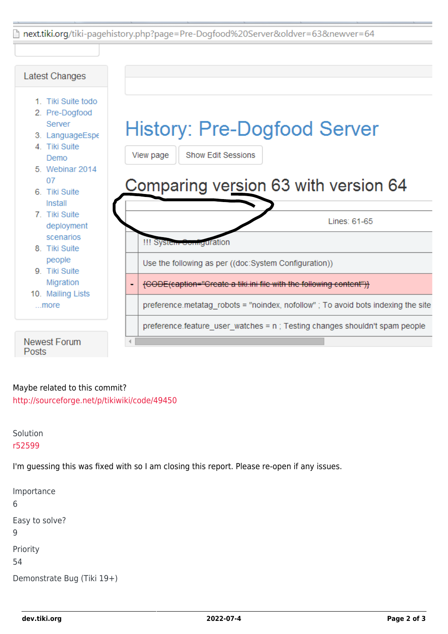hext.tiki.org/tiki-pagehistory.php?page=Pre-Dogfood%20Server&oldver=63&newver=64



#### Maybe related to this commit?

<http://sourceforge.net/p/tikiwiki/code/49450>

Solution [r52599](http://sourceforge.net/p/tikiwiki/code/52599)

I'm guessing this was fixed with so I am closing this report. Please re-open if any issues.

Importance 6 Easy to solve? 9 Priority 54 Demonstrate Bug (Tiki 19+)